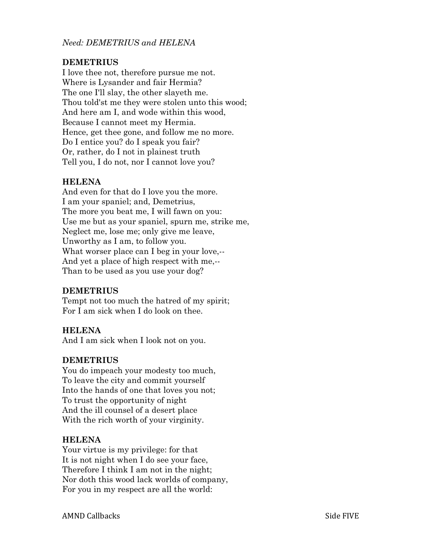*Need: DEMETRIUS and HELENA* 

# **DEMETRIUS**

I love thee not, therefore pursue me not. Where is Lysander and fair Hermia? The one I'll slay, the other slayeth me. Thou told'st me they were stolen unto this wood; And here am I, and wode within this wood, Because I cannot meet my Hermia. Hence, get thee gone, and follow me no more. Do I entice you? do I speak you fair? Or, rather, do I not in plainest truth Tell you, I do not, nor I cannot love you?

# **HELENA**

And even for that do I love you the more. I am your spaniel; and, Demetrius, The more you beat me, I will fawn on you: Use me but as your spaniel, spurn me, strike me, Neglect me, lose me; only give me leave, Unworthy as I am, to follow you. What worser place can I beg in your love,--And yet a place of high respect with me,-- Than to be used as you use your dog?

### **DEMETRIUS**

Tempt not too much the hatred of my spirit; For I am sick when I do look on thee.

### **HELENA**

And I am sick when I look not on you.

### **DEMETRIUS**

You do impeach your modesty too much, To leave the city and commit yourself Into the hands of one that loves you not; To trust the opportunity of night And the ill counsel of a desert place With the rich worth of your virginity.

### **HELENA**

Your virtue is my privilege: for that It is not night when I do see your face, Therefore I think I am not in the night; Nor doth this wood lack worlds of company, For you in my respect are all the world: